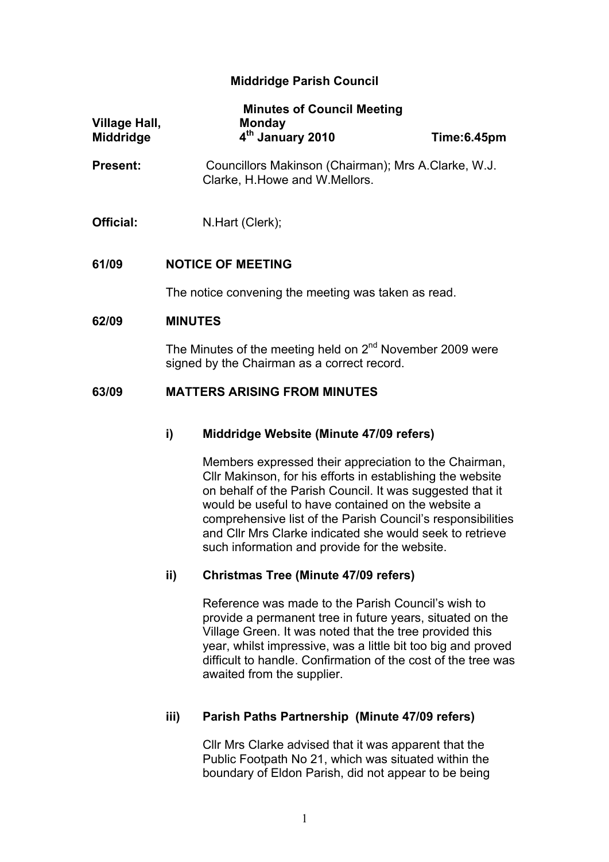# **Middridge Parish Council**

| Village Hall,<br><b>Middridge</b> | <b>Minutes of Council Meeting</b><br><b>Monday</b><br>4 <sup>th</sup> January 2010                                   | Time:6.45pm |  |
|-----------------------------------|----------------------------------------------------------------------------------------------------------------------|-------------|--|
| <b>Present:</b>                   | Councillors Makinson (Chairman); Mrs A.Clarke, W.J.<br>Clarke, H. Howe and W. Mellors.                               |             |  |
| Official:                         | N.Hart (Clerk);                                                                                                      |             |  |
| 61/09                             | <b>NOTICE OF MEETING</b>                                                                                             |             |  |
|                                   | The notice convening the meeting was taken as read.                                                                  |             |  |
| 62/09                             | <b>MINUTES</b>                                                                                                       |             |  |
|                                   | The Minutes of the meeting held on 2 <sup>nd</sup> November 2009 were<br>signed by the Chairman as a correct record. |             |  |
| 63/09                             | <b>MATTERS ARISING FROM MINUTES</b>                                                                                  |             |  |

# **i) Middridge Website (Minute 47/09 refers)**

Members expressed their appreciation to the Chairman, Cllr Makinson, for his efforts in establishing the website on behalf of the Parish Council. It was suggested that it would be useful to have contained on the website a comprehensive list of the Parish Council's responsibilities and Cllr Mrs Clarke indicated she would seek to retrieve such information and provide for the website.

# **ii) Christmas Tree (Minute 47/09 refers)**

Reference was made to the Parish Council's wish to provide a permanent tree in future years, situated on the Village Green. It was noted that the tree provided this year, whilst impressive, was a little bit too big and proved difficult to handle. Confirmation of the cost of the tree was awaited from the supplier.

# **iii) Parish Paths Partnership (Minute 47/09 refers)**

Cllr Mrs Clarke advised that it was apparent that the Public Footpath No 21, which was situated within the boundary of Eldon Parish, did not appear to be being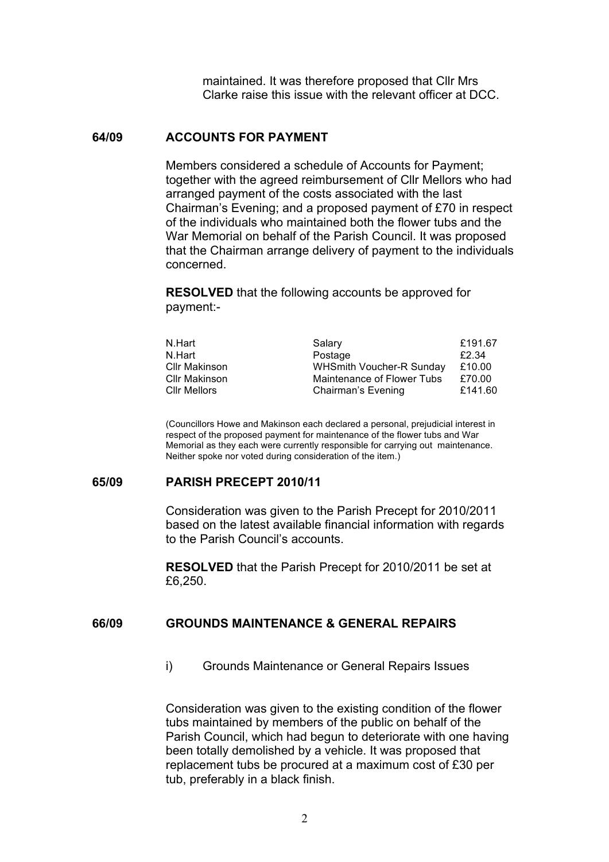maintained. It was therefore proposed that Cllr Mrs Clarke raise this issue with the relevant officer at DCC.

#### **64/09 ACCOUNTS FOR PAYMENT**

Members considered a schedule of Accounts for Payment; together with the agreed reimbursement of Cllr Mellors who had arranged payment of the costs associated with the last Chairman's Evening; and a proposed payment of £70 in respect of the individuals who maintained both the flower tubs and the War Memorial on behalf of the Parish Council. It was proposed that the Chairman arrange delivery of payment to the individuals concerned.

**RESOLVED** that the following accounts be approved for payment:-

| N.Hart               | Salary                          | £191.67 |
|----------------------|---------------------------------|---------|
| N.Hart               | Postage                         | £2.34   |
| <b>Cllr Makinson</b> | <b>WHSmith Voucher-R Sunday</b> | £10.00  |
| <b>Cllr Makinson</b> | Maintenance of Flower Tubs      | £70.00  |
| <b>CIIr Mellors</b>  | Chairman's Evening              | £141.60 |

(Councillors Howe and Makinson each declared a personal, prejudicial interest in respect of the proposed payment for maintenance of the flower tubs and War Memorial as they each were currently responsible for carrying out maintenance. Neither spoke nor voted during consideration of the item.)

#### **65/09 PARISH PRECEPT 2010/11**

Consideration was given to the Parish Precept for 2010/2011 based on the latest available financial information with regards to the Parish Council's accounts.

**RESOLVED** that the Parish Precept for 2010/2011 be set at £6,250.

## **66/09 GROUNDS MAINTENANCE & GENERAL REPAIRS**

i) Grounds Maintenance or General Repairs Issues

Consideration was given to the existing condition of the flower tubs maintained by members of the public on behalf of the Parish Council, which had begun to deteriorate with one having been totally demolished by a vehicle. It was proposed that replacement tubs be procured at a maximum cost of £30 per tub, preferably in a black finish.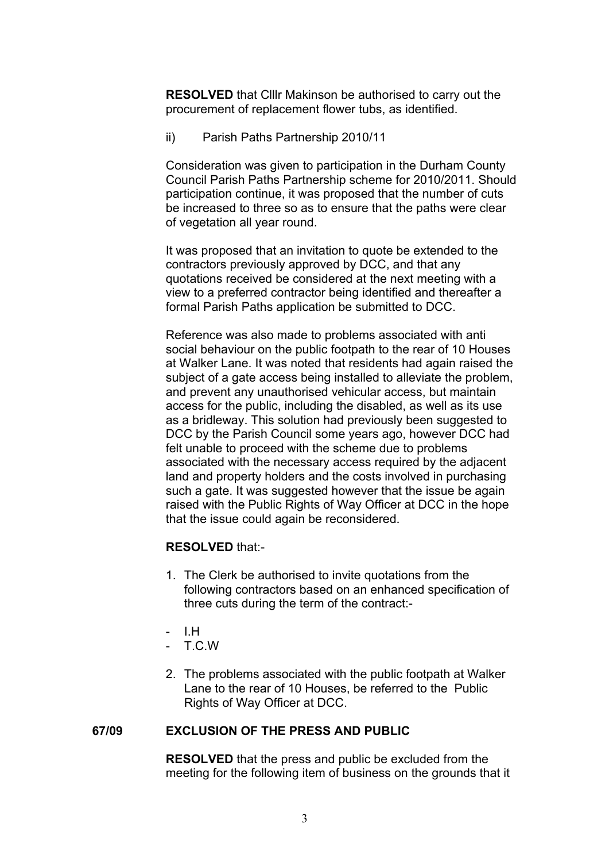**RESOLVED** that Clllr Makinson be authorised to carry out the procurement of replacement flower tubs, as identified.

ii) Parish Paths Partnership 2010/11

Consideration was given to participation in the Durham County Council Parish Paths Partnership scheme for 2010/2011. Should participation continue, it was proposed that the number of cuts be increased to three so as to ensure that the paths were clear of vegetation all year round.

It was proposed that an invitation to quote be extended to the contractors previously approved by DCC, and that any quotations received be considered at the next meeting with a view to a preferred contractor being identified and thereafter a formal Parish Paths application be submitted to DCC.

Reference was also made to problems associated with anti social behaviour on the public footpath to the rear of 10 Houses at Walker Lane. It was noted that residents had again raised the subject of a gate access being installed to alleviate the problem, and prevent any unauthorised vehicular access, but maintain access for the public, including the disabled, as well as its use as a bridleway. This solution had previously been suggested to DCC by the Parish Council some years ago, however DCC had felt unable to proceed with the scheme due to problems associated with the necessary access required by the adjacent land and property holders and the costs involved in purchasing such a gate. It was suggested however that the issue be again raised with the Public Rights of Way Officer at DCC in the hope that the issue could again be reconsidered.

# **RESOLVED** that:-

- 1. The Clerk be authorised to invite quotations from the following contractors based on an enhanced specification of three cuts during the term of the contract:-
- I.H
- $T C W$
- 2. The problems associated with the public footpath at Walker Lane to the rear of 10 Houses, be referred to the Public Rights of Way Officer at DCC.

# **67/09 EXCLUSION OF THE PRESS AND PUBLIC**

**RESOLVED** that the press and public be excluded from the meeting for the following item of business on the grounds that it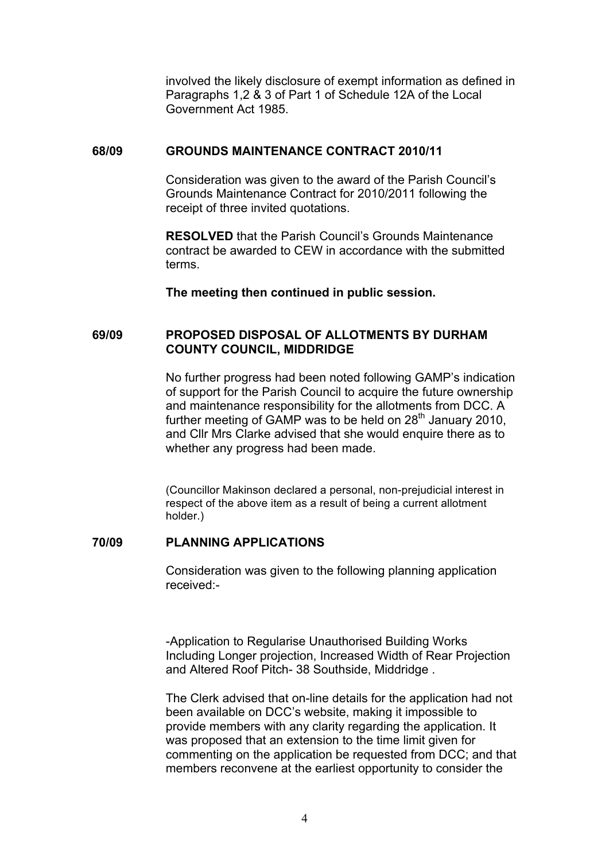involved the likely disclosure of exempt information as defined in Paragraphs 1,2 & 3 of Part 1 of Schedule 12A of the Local Government Act 1985.

### **68/09 GROUNDS MAINTENANCE CONTRACT 2010/11**

Consideration was given to the award of the Parish Council's Grounds Maintenance Contract for 2010/2011 following the receipt of three invited quotations.

**RESOLVED** that the Parish Council's Grounds Maintenance contract be awarded to CEW in accordance with the submitted terms.

**The meeting then continued in public session.**

# **69/09 PROPOSED DISPOSAL OF ALLOTMENTS BY DURHAM COUNTY COUNCIL, MIDDRIDGE**

No further progress had been noted following GAMP's indication of support for the Parish Council to acquire the future ownership and maintenance responsibility for the allotments from DCC. A further meeting of GAMP was to be held on  $28<sup>th</sup>$  January 2010, and Cllr Mrs Clarke advised that she would enquire there as to whether any progress had been made.

(Councillor Makinson declared a personal, non-prejudicial interest in respect of the above item as a result of being a current allotment holder.)

### **70/09 PLANNING APPLICATIONS**

Consideration was given to the following planning application received:-

-Application to Regularise Unauthorised Building Works Including Longer projection, Increased Width of Rear Projection and Altered Roof Pitch- 38 Southside, Middridge .

The Clerk advised that on-line details for the application had not been available on DCC's website, making it impossible to provide members with any clarity regarding the application. It was proposed that an extension to the time limit given for commenting on the application be requested from DCC; and that members reconvene at the earliest opportunity to consider the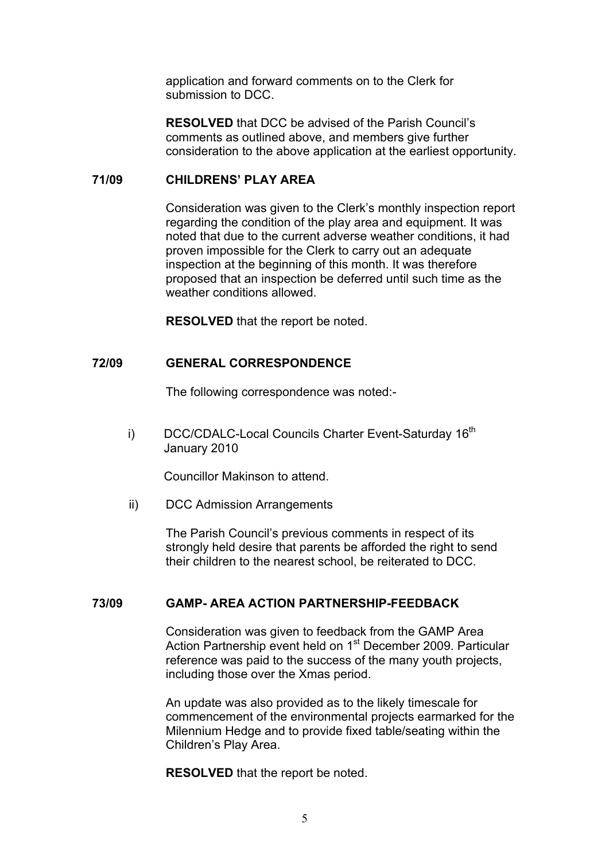application and forward comments on to the Clerk for submission to DCC.

**RESOLVED** that DCC be advised of the Parish Council's comments as outlined above, and members give further consideration to the above application at the earliest opportunity.

#### **71/09 CHILDRENS' PLAY AREA**

Consideration was given to the Clerk's monthly inspection report regarding the condition of the play area and equipment. It was noted that due to the current adverse weather conditions, it had proven impossible for the Clerk to carry out an adequate inspection at the beginning of this month. It was therefore proposed that an inspection be deferred until such time as the weather conditions allowed.

**RESOLVED** that the report be noted.

### **72/09 GENERAL CORRESPONDENCE**

The following correspondence was noted:-

i) DCC/CDALC-Local Councils Charter Event-Saturday 16<sup>th</sup> January 2010

Councillor Makinson to attend.

ii) DCC Admission Arrangements

The Parish Council's previous comments in respect of its strongly held desire that parents be afforded the right to send their children to the nearest school, be reiterated to DCC.

### **73/09 GAMP- AREA ACTION PARTNERSHIP-FEEDBACK**

Consideration was given to feedback from the GAMP Area Action Partnership event held on 1<sup>st</sup> December 2009. Particular reference was paid to the success of the many youth projects, including those over the Xmas period.

An update was also provided as to the likely timescale for commencement of the environmental projects earmarked for the Milennium Hedge and to provide fixed table/seating within the Children's Play Area.

**RESOLVED** that the report be noted.